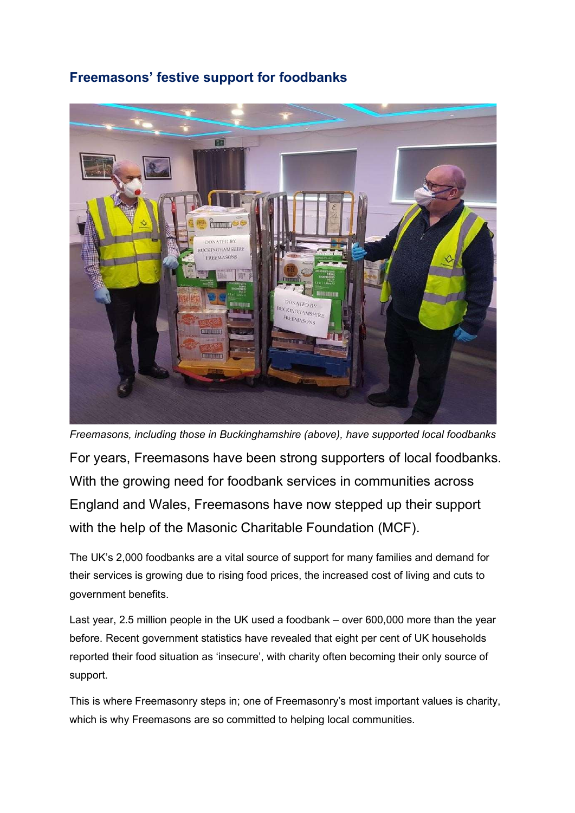## Freemasons' festive support for foodbanks



For years, Freemasons have been strong supporters of local foodbanks. With the growing need for foodbank services in communities across England and Wales, Freemasons have now stepped up their support with the help of the Masonic Charitable Foundation (MCF). Freemasons, including those in Buckinghamshire (above), have supported local foodbanks

The UK's 2,000 foodbanks are a vital source of support for many families and demand for their services is growing due to rising food prices, the increased cost of living and cuts to government benefits.

Last year, 2.5 million people in the UK used a foodbank – over 600,000 more than the year before. Recent government statistics have revealed that eight per cent of UK households reported their food situation as 'insecure', with charity often becoming their only source of support.

This is where Freemasonry steps in; one of Freemasonry's most important values is charity, which is why Freemasons are so committed to helping local communities.